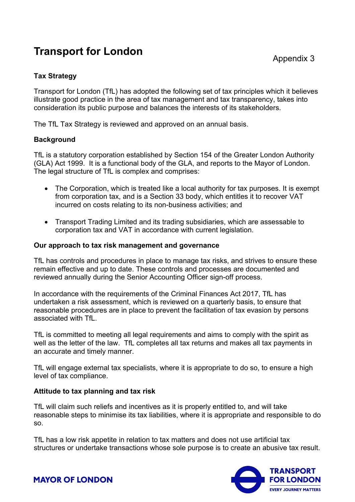# **Transport for London**

## **Tax Strategy**

Transport for London (TfL) has adopted the following set of tax principles which it believes illustrate good practice in the area of tax management and tax transparency, takes into consideration its public purpose and balances the interests of its stakeholders.

The TfL Tax Strategy is reviewed and approved on an annual basis.

### **Background**

TfL is a statutory corporation established by Section 154 of the Greater London Authority (GLA) Act 1999. It is a functional body of the GLA, and reports to the Mayor of London. The legal structure of TfL is complex and comprises:

- The Corporation, which is treated like a local authority for tax purposes. It is exempt from corporation tax, and is a Section 33 body, which entitles it to recover VAT incurred on costs relating to its non-business activities; and
- Transport Trading Limited and its trading subsidiaries, which are assessable to corporation tax and VAT in accordance with current legislation.

#### **Our approach to tax risk management and governance**

TfL has controls and procedures in place to manage tax risks, and strives to ensure these remain effective and up to date. These controls and processes are documented and reviewed annually during the Senior Accounting Officer sign-off process.

In accordance with the requirements of the Criminal Finances Act 2017, TfL has undertaken a risk assessment, which is reviewed on a quarterly basis, to ensure that reasonable procedures are in place to prevent the facilitation of tax evasion by persons associated with TfL.

TfL is committed to meeting all legal requirements and aims to comply with the spirit as well as the letter of the law. TfL completes all tax returns and makes all tax payments in an accurate and timely manner.

TfL will engage external tax specialists, where it is appropriate to do so, to ensure a high level of tax compliance.

#### **Attitude to tax planning and tax risk**

TfL will claim such reliefs and incentives as it is properly entitled to, and will take reasonable steps to minimise its tax liabilities, where it is appropriate and responsible to do so.

TfL has a low risk appetite in relation to tax matters and does not use artificial tax structures or undertake transactions whose sole purpose is to create an abusive tax result.



**MAYOR OF LONDON**